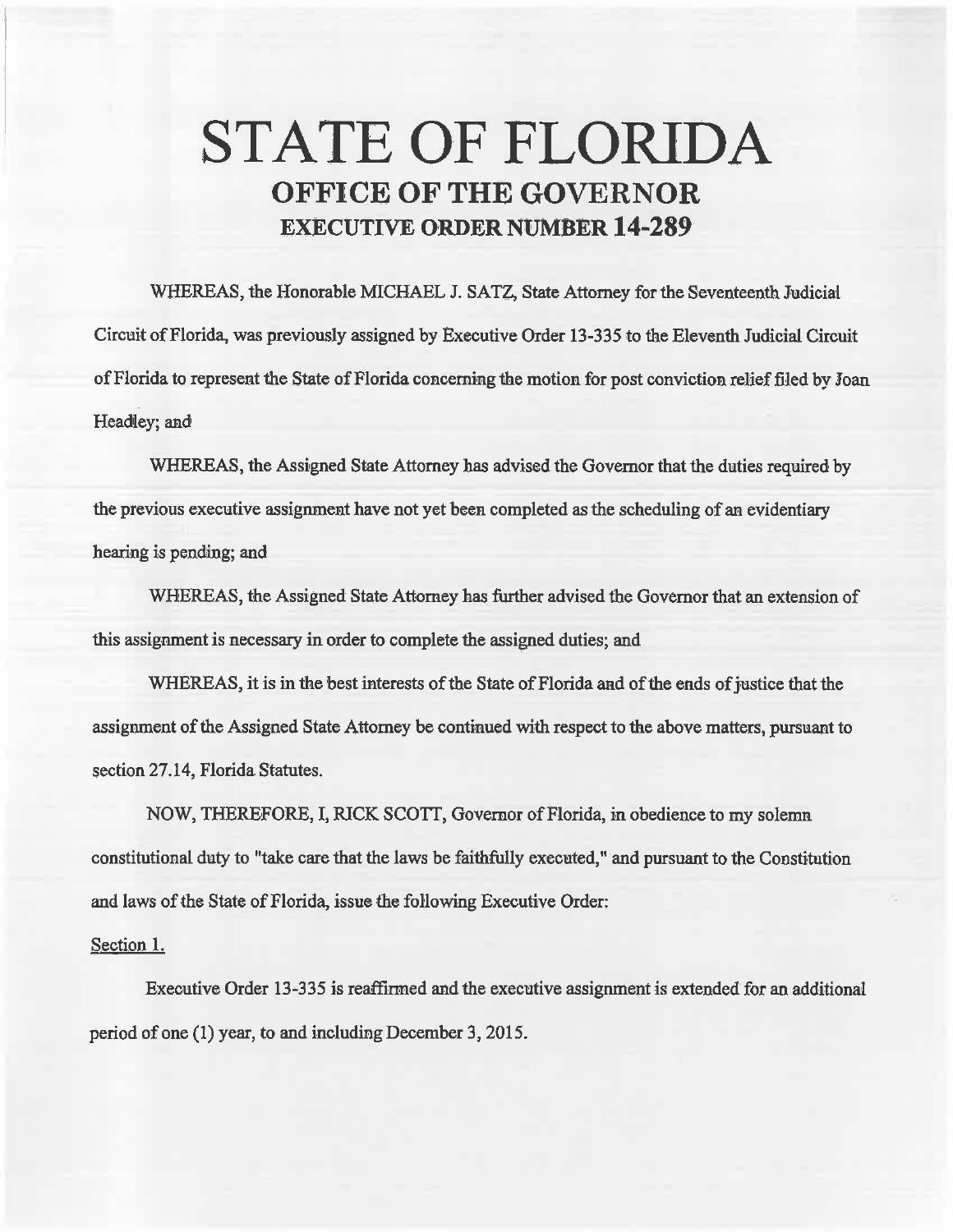## STATE OF FLORIDA OFFICE OF THE GOVERNOR EXECUTIVE ORDER NUMBER 14-289

WHEREAS, the Honorable MICHAEL J. SATZ, State Attorney for the Seventeenth Judicial Circuit of Florida, was previously assigned by Executive Order 13-335 to the Eleventh Judicial Circuit of Florida to represent the State of Florida concerning the motion for post conviction relief filed by Joan Headley; and

WHEREAS, the Assigned State Attorney has advised the Governor that the duties required by the previous executive assignment have not yet been completed as the scheduling of an evidentiary hearing is pending; and

WHEREAS, the Assigned State Attorney has further advised the Governor that an extension of this assignment is necessary in order to complete the assigned duties; and

WHEREAS, it is in the best interests of the State of Florida and of the ends of justice that the assignment of the Assigned State Attorney be continued with respect to the above matters, pursuant to section 27.14, Florida Statutes.

NOW, THEREFORE, I, RICK SCOTI, Governor of Florida, in obedience to my solemn. constitutional duty to "take care that the laws be faithfully executed," and pursuant to the Constitution and laws of the State of Florida, issue the following Executive Order:

## Section 1.

Executive Order 13-335 is reaffirmed and the executive assignment is extended for an additional period of one ( 1) year, to and including December 3, 2015.